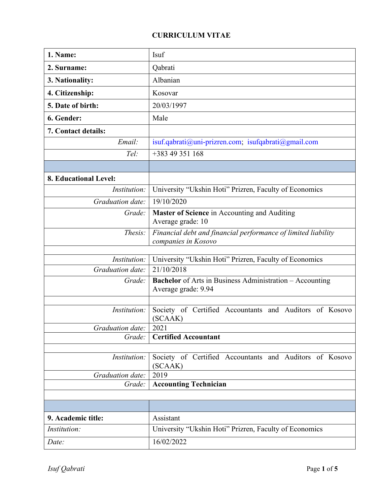## **CURRICULUM VITAE**

| 1. Name:              | Isuf                                                                                   |  |  |  |  |  |
|-----------------------|----------------------------------------------------------------------------------------|--|--|--|--|--|
| 2. Surname:           | Qabrati                                                                                |  |  |  |  |  |
| 3. Nationality:       | Albanian                                                                               |  |  |  |  |  |
| 4. Citizenship:       | Kosovar                                                                                |  |  |  |  |  |
| 5. Date of birth:     | 20/03/1997                                                                             |  |  |  |  |  |
| 6. Gender:            | Male                                                                                   |  |  |  |  |  |
| 7. Contact details:   |                                                                                        |  |  |  |  |  |
| Email:                | isuf.qabrati@uni-prizren.com; isufqabrati@gmail.com                                    |  |  |  |  |  |
| Tel:                  | +383 49 351 168                                                                        |  |  |  |  |  |
|                       |                                                                                        |  |  |  |  |  |
| 8. Educational Level: |                                                                                        |  |  |  |  |  |
| Institution:          | University "Ukshin Hoti" Prizren, Faculty of Economics                                 |  |  |  |  |  |
| Graduation date:      | 19/10/2020                                                                             |  |  |  |  |  |
| Grade:                | Master of Science in Accounting and Auditing<br>Average grade: 10                      |  |  |  |  |  |
| Thesis:               | Financial debt and financial performance of limited liability<br>companies in Kosovo   |  |  |  |  |  |
| Institution:          | University "Ukshin Hoti" Prizren, Faculty of Economics                                 |  |  |  |  |  |
| Graduation date:      | 21/10/2018                                                                             |  |  |  |  |  |
| Grade:                | <b>Bachelor</b> of Arts in Business Administration - Accounting<br>Average grade: 9.94 |  |  |  |  |  |
| Institution:          | Society of Certified Accountants and Auditors of Kosovo<br>(SCAAK)                     |  |  |  |  |  |
| Graduation date:      | 2021                                                                                   |  |  |  |  |  |
| Grade:                | <b>Certified Accountant</b>                                                            |  |  |  |  |  |
| Institution:          | Society of Certified Accountants and Auditors of Kosovo<br>(SCAAK)                     |  |  |  |  |  |
| Graduation date:      | 2019                                                                                   |  |  |  |  |  |
| Grade:                | <b>Accounting Technician</b>                                                           |  |  |  |  |  |
|                       |                                                                                        |  |  |  |  |  |
|                       |                                                                                        |  |  |  |  |  |
| 9. Academic title:    | Assistant                                                                              |  |  |  |  |  |
| Institution:          | University "Ukshin Hoti" Prizren, Faculty of Economics                                 |  |  |  |  |  |
| Date:                 | 16/02/2022                                                                             |  |  |  |  |  |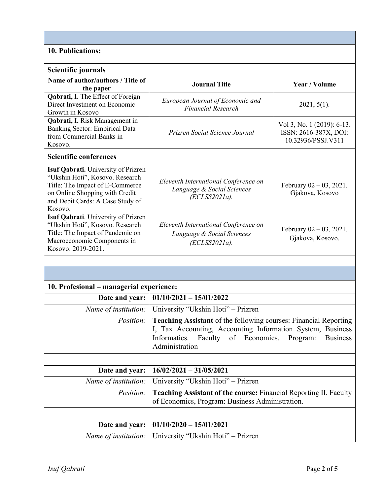## **10. Publications:**

| Scientific journals                                                                                                                                                                        |                                                                                                                                                                                                          |                                                                           |  |  |  |  |  |
|--------------------------------------------------------------------------------------------------------------------------------------------------------------------------------------------|----------------------------------------------------------------------------------------------------------------------------------------------------------------------------------------------------------|---------------------------------------------------------------------------|--|--|--|--|--|
| Name of author/authors / Title of<br>the paper                                                                                                                                             | <b>Journal Title</b>                                                                                                                                                                                     | Year / Volume                                                             |  |  |  |  |  |
| Qabrati, I. The Effect of Foreign<br>Direct Investment on Economic<br>Growth in Kosovo                                                                                                     | European Journal of Economic and<br><b>Financial Research</b>                                                                                                                                            | $2021, 5(1)$ .                                                            |  |  |  |  |  |
| Qabrati, I. Risk Management in<br>Banking Sector: Empirical Data<br>from Commercial Banks in<br>Kosovo.                                                                                    | Prizren Social Science Journal                                                                                                                                                                           | Vol 3, No. 1 (2019): 6-13.<br>ISSN: 2616-387X, DOI:<br>10.32936/PSSJ.V311 |  |  |  |  |  |
| <b>Scientific conferences</b>                                                                                                                                                              |                                                                                                                                                                                                          |                                                                           |  |  |  |  |  |
| Isuf Qabrati. University of Prizren<br>"Ukshin Hoti", Kosovo. Research<br>Title: The Impact of E-Commerce<br>on Online Shopping with Credit<br>and Debit Cards: A Case Study of<br>Kosovo. | Eleventh International Conference on<br>Language & Social Sciences<br>$(ECLSS2021a)$ .                                                                                                                   | February $02 - 03$ , 2021.<br>Gjakova, Kosovo                             |  |  |  |  |  |
| Isuf Qabrati. University of Prizren<br>"Ukshin Hoti", Kosovo. Research<br>Title: The Impact of Pandemic on<br>Macroeconomic Components in<br>Kosovo: 2019-2021.                            | Eleventh International Conference on<br>Language & Social Sciences<br>$(ECLSS2021a)$ .                                                                                                                   | February $02 - 03$ , 2021.<br>Gjakova, Kosovo.                            |  |  |  |  |  |
|                                                                                                                                                                                            |                                                                                                                                                                                                          |                                                                           |  |  |  |  |  |
|                                                                                                                                                                                            |                                                                                                                                                                                                          |                                                                           |  |  |  |  |  |
| 10. Profesional – managerial experience:                                                                                                                                                   |                                                                                                                                                                                                          |                                                                           |  |  |  |  |  |
| Date and year:                                                                                                                                                                             | $01/10/2021 - 15/01/2022$                                                                                                                                                                                |                                                                           |  |  |  |  |  |
| Name of institution:                                                                                                                                                                       | University "Ukshin Hoti" - Prizren                                                                                                                                                                       |                                                                           |  |  |  |  |  |
| Position:                                                                                                                                                                                  | Teaching Assistant of the following courses: Financial Reporting<br>I, Tax Accounting, Accounting Information System, Business<br>Informatics. Faculty of Economics, Program: Business<br>Administration |                                                                           |  |  |  |  |  |
|                                                                                                                                                                                            |                                                                                                                                                                                                          |                                                                           |  |  |  |  |  |
| Date and year:                                                                                                                                                                             | $16/02/2021 - 31/05/2021$                                                                                                                                                                                |                                                                           |  |  |  |  |  |
| Name of institution:                                                                                                                                                                       | University "Ukshin Hoti" - Prizren                                                                                                                                                                       |                                                                           |  |  |  |  |  |
| Position:                                                                                                                                                                                  | Teaching Assistant of the course: Financial Reporting II. Faculty<br>of Economics, Program: Business Administration.                                                                                     |                                                                           |  |  |  |  |  |
|                                                                                                                                                                                            |                                                                                                                                                                                                          |                                                                           |  |  |  |  |  |
| Date and year:                                                                                                                                                                             | $01/10/2020 - 15/01/2021$                                                                                                                                                                                |                                                                           |  |  |  |  |  |
| Name of institution:                                                                                                                                                                       | University "Ukshin Hoti" - Prizren                                                                                                                                                                       |                                                                           |  |  |  |  |  |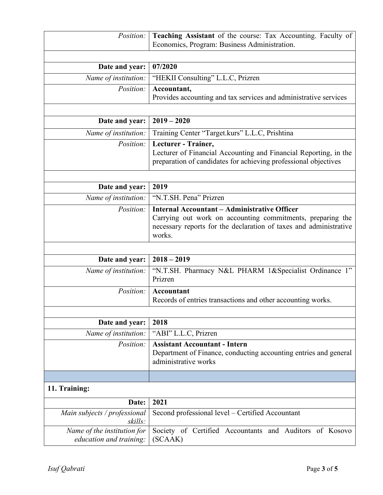| Position:                                              | Teaching Assistant of the course: Tax Accounting. Faculty of<br>Economics, Program: Business Administration.                                                                                     |  |  |  |
|--------------------------------------------------------|--------------------------------------------------------------------------------------------------------------------------------------------------------------------------------------------------|--|--|--|
|                                                        |                                                                                                                                                                                                  |  |  |  |
| Date and year:                                         | 07/2020                                                                                                                                                                                          |  |  |  |
| Name of institution:                                   | "HEKII Consulting" L.L.C, Prizren                                                                                                                                                                |  |  |  |
| Position:                                              | Accountant,<br>Provides accounting and tax services and administrative services                                                                                                                  |  |  |  |
| Date and year:                                         | $2019 - 2020$                                                                                                                                                                                    |  |  |  |
| Name of institution:                                   | Training Center "Target.kurs" L.L.C, Prishtina                                                                                                                                                   |  |  |  |
| Position:                                              | Lecturer - Trainer,<br>Lecturer of Financial Accounting and Financial Reporting, in the<br>preparation of candidates for achieving professional objectives                                       |  |  |  |
|                                                        | 2019                                                                                                                                                                                             |  |  |  |
| Date and year:                                         |                                                                                                                                                                                                  |  |  |  |
| Name of institution:                                   | "N.T.SH. Pena" Prizren                                                                                                                                                                           |  |  |  |
| Position:                                              | <b>Internal Accountant – Administrative Officer</b><br>Carrying out work on accounting commitments, preparing the<br>necessary reports for the declaration of taxes and administrative<br>works. |  |  |  |
|                                                        |                                                                                                                                                                                                  |  |  |  |
| Date and year:                                         | $2018 - 2019$                                                                                                                                                                                    |  |  |  |
| Name of institution:                                   | "N.T.SH. Pharmacy N&L PHARM 1&Specialist Ordinance 1"<br>Prizren                                                                                                                                 |  |  |  |
| Position:                                              | Accountant<br>Records of entries transactions and other accounting works.                                                                                                                        |  |  |  |
|                                                        |                                                                                                                                                                                                  |  |  |  |
| Date and year:                                         | 2018                                                                                                                                                                                             |  |  |  |
| Name of institution:                                   | "ABI" L.L.C, Prizren                                                                                                                                                                             |  |  |  |
| Position:                                              | <b>Assistant Accountant - Intern</b><br>Department of Finance, conducting accounting entries and general<br>administrative works                                                                 |  |  |  |
|                                                        |                                                                                                                                                                                                  |  |  |  |
| 11. Training:                                          |                                                                                                                                                                                                  |  |  |  |
| Date:                                                  | 2021                                                                                                                                                                                             |  |  |  |
| Main subjects / professional<br>skills:                | Second professional level – Certified Accountant                                                                                                                                                 |  |  |  |
| Name of the institution for<br>education and training: | Society of Certified Accountants and Auditors of Kosovo<br>(SCAAK)                                                                                                                               |  |  |  |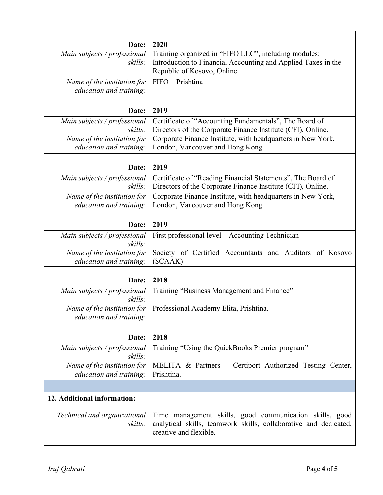| Date:                                                  | 2020                                                                                                                                                  |  |  |  |
|--------------------------------------------------------|-------------------------------------------------------------------------------------------------------------------------------------------------------|--|--|--|
| Main subjects / professional<br>skills:                | Training organized in "FIFO LLC", including modules:<br>Introduction to Financial Accounting and Applied Taxes in the<br>Republic of Kosovo, Online.  |  |  |  |
| Name of the institution for<br>education and training: | FIFO - Prishtina                                                                                                                                      |  |  |  |
|                                                        |                                                                                                                                                       |  |  |  |
| Date:                                                  | 2019                                                                                                                                                  |  |  |  |
| Main subjects / professional<br>skills:                | Certificate of "Accounting Fundamentals", The Board of<br>Directors of the Corporate Finance Institute (CFI), Online.                                 |  |  |  |
| Name of the institution for<br>education and training: | Corporate Finance Institute, with headquarters in New York,<br>London, Vancouver and Hong Kong.                                                       |  |  |  |
| Date:                                                  | 2019                                                                                                                                                  |  |  |  |
| Main subjects / professional<br>skills:                | Certificate of "Reading Financial Statements", The Board of<br>Directors of the Corporate Finance Institute (CFI), Online.                            |  |  |  |
| Name of the institution for<br>education and training: | Corporate Finance Institute, with headquarters in New York,<br>London, Vancouver and Hong Kong.                                                       |  |  |  |
|                                                        |                                                                                                                                                       |  |  |  |
| Date:                                                  | 2019                                                                                                                                                  |  |  |  |
| Main subjects / professional<br>skills:                | First professional level - Accounting Technician                                                                                                      |  |  |  |
| Name of the institution for<br>education and training: | Society of Certified Accountants and Auditors of Kosovo<br>(SCAAK)                                                                                    |  |  |  |
|                                                        |                                                                                                                                                       |  |  |  |
| Date:                                                  | 2018                                                                                                                                                  |  |  |  |
| Main subjects / professional<br>skills:                | Training "Business Management and Finance"                                                                                                            |  |  |  |
| Name of the institution for<br>education and training: | Professional Academy Elita, Prishtina.                                                                                                                |  |  |  |
|                                                        |                                                                                                                                                       |  |  |  |
| Date:                                                  | 2018                                                                                                                                                  |  |  |  |
| Main subjects / professional<br>skills:                | Training "Using the QuickBooks Premier program"                                                                                                       |  |  |  |
| Name of the institution for<br>education and training: | MELITA & Partners - Certiport Authorized Testing Center,<br>Prishtina.                                                                                |  |  |  |
|                                                        |                                                                                                                                                       |  |  |  |
| 12. Additional information:                            |                                                                                                                                                       |  |  |  |
| Technical and organizational<br>skills:                | Time management skills, good communication skills, good<br>analytical skills, teamwork skills, collaborative and dedicated,<br>creative and flexible. |  |  |  |